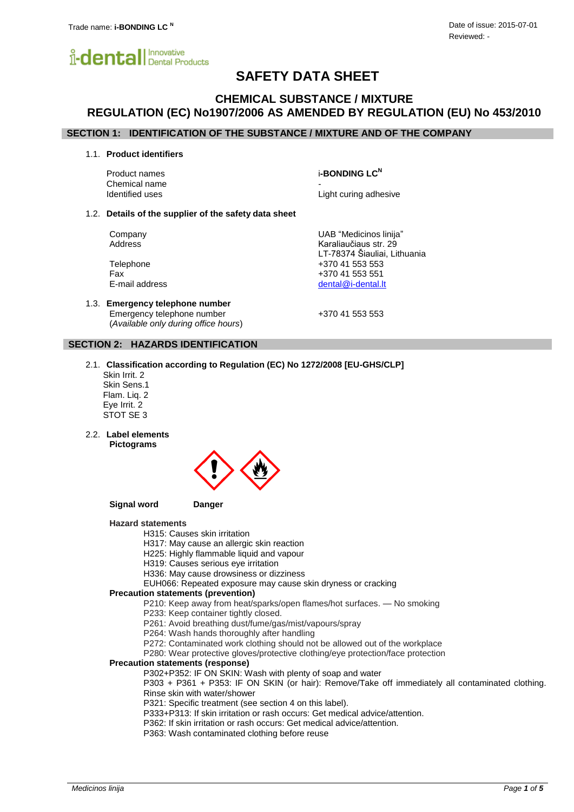

# **SAFETY DATA SHEET**

## **CHEMICAL SUBSTANCE / MIXTURE REGULATION (EC) No1907/2006 AS AMENDED BY REGULATION (EU) No 453/2010**

### **SECTION 1: IDENTIFICATION OF THE SUBSTANCE / MIXTURE AND OF THE COMPANY**

1.1. **Product identifiers**

Chemical name

Product names i**-BONDING LC<sup>N</sup>**

Identified uses **Light curing adhesive** 

#### 1.2. **Details of the supplier of the safety data sheet**

Company UAB "Medicinos linija" Address **Karaliaučiaus str.** 29

Telephone +370 41 553 553 Fax +370 41 553 551 E-mail address [dental@i-dental.lt](mailto:dental@i-dental.lt)

1.3. **Emergency telephone number** Emergency telephone number  $+37041553553$ (*Available only during office hours*)

LT-78374 Šiauliai, Lithuania

### **SECTION 2: HAZARDS IDENTIFICATION**

- 2.1. **Classification according to Regulation (EC) No 1272/2008 [EU-GHS/CLP]**
	- Skin Irrit. 2 Skin Sens.1 Flam. Liq. 2 Eye Irrit. 2 STOT SE 3
- 2.2. **Label elements Pictograms**



#### **Signal word Danger**

### **Hazard statements**

H315: Causes skin irritation

- H317: May cause an allergic skin reaction
- H225: Highly flammable liquid and vapour
- H319: Causes serious eye irritation
- H336: May cause drowsiness or dizziness

EUH066: Repeated exposure may cause skin dryness or cracking

#### **Precaution statements (prevention)**

P210: Keep away from heat/sparks/open flames/hot surfaces. — No smoking

P233: Keep container tightly closed.

P261: Avoid breathing dust/fume/gas/mist/vapours/spray

- P264: Wash hands thoroughly after handling
- P272: Contaminated work clothing should not be allowed out of the workplace

P280: Wear protective gloves/protective clothing/eye protection/face protection

### **Precaution statements (response)**

P302+P352: IF ON SKIN: Wash with plenty of soap and water

P303 + P361 + P353: IF ON SKIN (or hair): Remove/Take off immediately all contaminated clothing. Rinse skin with water/shower

P321: Specific treatment (see section 4 on this label).

P333+P313: If skin irritation or rash occurs: Get medical advice/attention.

P362: If skin irritation or rash occurs: Get medical advice/attention.

P363: Wash contaminated clothing before reuse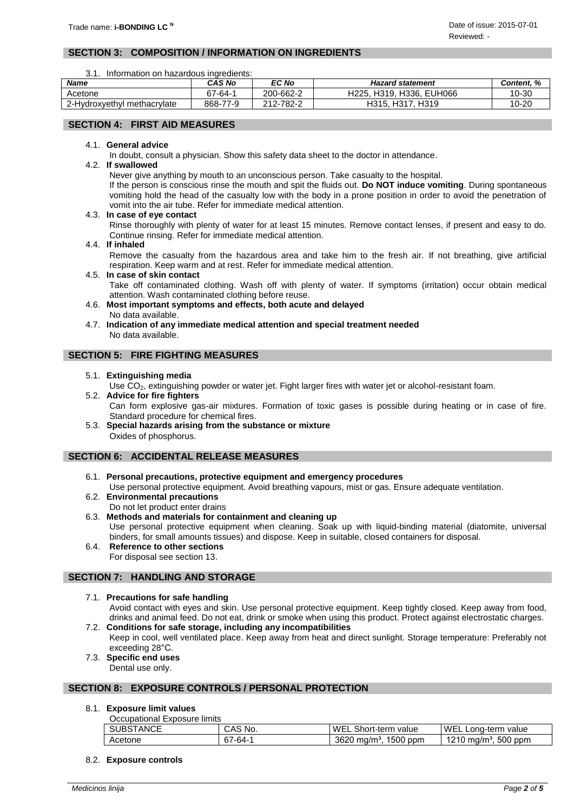### **SECTION 3: COMPOSITION / INFORMATION ON INGREDIENTS**

3.1. Information on hazardous ingredients:

| <b>Name</b>                      | CAS No   | EC No     | <b>Hazard statement</b>            | <b>Content. %</b> |
|----------------------------------|----------|-----------|------------------------------------|-------------------|
| Acetone                          | 67-64-1  | 200-662-2 | H319. H336.<br>. EUH066<br>H225.   | 10-30             |
| 2-Hvdroxvethvl<br>l methacrvlate | 868-77-9 | 212-782-2 | H317.<br>H <sub>319</sub><br>H315. | 10-20             |

### **SECTION 4: FIRST AID MEASURES**

### 4.1. **General advice**

In doubt, consult a physician. Show this safety data sheet to the doctor in attendance.

4.2. **If swallowed**

Never give anything by mouth to an unconscious person. Take casualty to the hospital.

If the person is conscious rinse the mouth and spit the fluids out. **Do NOT induce vomiting**. During spontaneous vomiting hold the head of the casualty low with the body in a prone position in order to avoid the penetration of vomit into the air tube. Refer for immediate medical attention.

4.3. **In case of eye contact**

Rinse thoroughly with plenty of water for at least 15 minutes. Remove contact lenses, if present and easy to do. Continue rinsing. Refer for immediate medical attention.

#### 4.4. **If inhaled**

Remove the casualty from the hazardous area and take him to the fresh air. If not breathing, give artificial respiration. Keep warm and at rest. Refer for immediate medical attention.

- 4.5. **In case of skin contact** Take off contaminated clothing. Wash off with plenty of water. If symptoms (irritation) occur obtain medical attention. Wash contaminated clothing before reuse.
- 4.6. **Most important symptoms and effects, both acute and delayed** No data available.
- 4.7. **Indication of any immediate medical attention and special treatment needed** No data available.

### **SECTION 5: FIRE FIGHTING MEASURES**

- 5.1. **Extinguishing media**
	- Use CO<sub>2</sub>, extinguishing powder or water jet. Fight larger fires with water jet or alcohol-resistant foam.

# 5.2. **Advice for fire fighters**

Can form explosive gas-air mixtures. Formation of toxic gases is possible during heating or in case of fire. Standard procedure for chemical fires.

5.3. **Special hazards arising from the substance or mixture** Oxides of phosphorus.

### **SECTION 6: ACCIDENTAL RELEASE MEASURES**

- 6.1. **Personal precautions, protective equipment and emergency procedures**
- Use personal protective equipment. Avoid breathing vapours, mist or gas. Ensure adequate ventilation. 6.2. **Environmental precautions**
- Do not let product enter drains
- 6.3. **Methods and materials for containment and cleaning up** Use personal protective equipment when cleaning. Soak up with liquid-binding material (diatomite, universal binders, for small amounts tissues) and dispose. Keep in suitable, closed containers for disposal.
- 6.4. **Reference to other sections** For disposal see section 13.

### **SECTION 7: HANDLING AND STORAGE**

7.1. **Precautions for safe handling**

Avoid contact with eyes and skin. Use personal protective equipment. Keep tightly closed. Keep away from food, drinks and animal feed. Do not eat, drink or smoke when using this product. Protect against electrostatic charges. 7.2. **Conditions for safe storage, including any incompatibilities**

- Keep in cool, well ventilated place. Keep away from heat and direct sunlight. Storage temperature: Preferably not exceeding 28°C.
- 7.3. **Specific end uses** Dental use only.

### **SECTION 8: EXPOSURE CONTROLS / PERSONAL PROTECTION**

### 8.1. **Exposure limit values**

Occupational Exposure limits

| ANCE<br>SUBS | $S$ No.<br>UMU | WEL<br>Short-term<br>value                             | WF<br>.ona-term<br>value                |
|--------------|----------------|--------------------------------------------------------|-----------------------------------------|
| Acetone      | ∕ -64-^<br>07  | 1500 ppm<br>3620<br>Im <sup>3</sup><br>ma <sub>l</sub> | 500<br>1010<br>ppm<br>ma/m <sup>3</sup> |

8.2. **Exposure controls**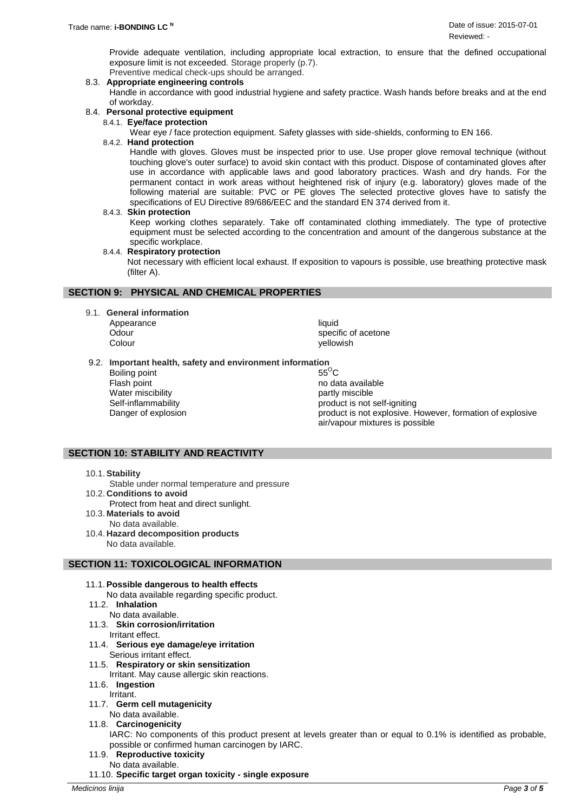Provide adequate ventilation, including appropriate local extraction, to ensure that the defined occupational exposure limit is not exceeded. Storage properly (p.7).

- Preventive medical check-ups should be arranged.
- 8.3. **Appropriate engineering controls**

Handle in accordance with good industrial hygiene and safety practice. Wash hands before breaks and at the end of workday.

- 8.4. **Personal protective equipment**
	- 8.4.1. **Eye/face protection**
		- Wear eye / face protection equipment. Safety glasses with side-shields, conforming to EN 166.

### 8.4.2. **Hand protection**

Handle with gloves. Gloves must be inspected prior to use. Use proper glove removal technique (without touching glove's outer surface) to avoid skin contact with this product. Dispose of contaminated gloves after use in accordance with applicable laws and good laboratory practices. Wash and dry hands. For the permanent contact in work areas without heightened risk of injury (e.g. laboratory) gloves made of the following material are suitable: PVC or PE gloves The selected protective gloves have to satisfy the specifications of EU Directive 89/686/EEC and the standard EN 374 derived from it.

#### 8.4.3. **Skin protection**

Keep working clothes separately. Take off contaminated clothing immediately. The type of protective equipment must be selected according to the concentration and amount of the dangerous substance at the specific workplace.

#### 8.4.4. **Respiratory protection**

Not necessary with efficient local exhaust. If exposition to vapours is possible, use breathing protective mask (filter A).

### **SECTION 9: PHYSICAL AND CHEMICAL PROPERTIES**

- 9.1. **General information**
	- Appearance liquid

Odour contracts of acetone contracts of acetone specific of acetone Colour colour colour with the settlement of the settlement of the settlement of the settlement of the settlement of the settlement of the settlement of the settlement of the settlement of the settlement of the settlement o

9.2. **Important health, safety and environment information** 

Boiling point Flash point **no data available** no data available Water miscibility **partly miscible** 

Self-inflammability product is not self-igniting Danger of explosion **product is not explosive.** However, formation of explosive air/vapour mixtures is possible

### **SECTION 10: STABILITY AND REACTIVITY**

- 10.1.**Stability**
- Stable under normal temperature and pressure
- 10.2. **Conditions to avoid** Protect from heat and direct sunlight.
- 10.3. **Materials to avoid** No data available.
- 10.4. **Hazard decomposition products** No data available.

### **SECTION 11: TOXICOLOGICAL INFORMATION**

- 11.1.**Possible dangerous to health effects**
	- No data available regarding specific product.
- 11.2. **Inhalation**
	- No data available.
- 11.3. **Skin corrosion/irritation**
- Irritant effect. 11.4. **Serious eye damage/eye irritation**
- Serious irritant effect. 11.5. **Respiratory or skin sensitization**
	- Irritant. May cause allergic skin reactions.
- 11.6. **Ingestion**
	- **Irritant**
- 11.7. **Germ cell mutagenicity**
	- No data available.
- 11.8. **Carcinogenicity**

IARC: No components of this product present at levels greater than or equal to 0.1% is identified as probable, possible or confirmed human carcinogen by IARC.

- 11.9. **Reproductive toxicity**
	- No data available.
- 11.10. **Specific target organ toxicity - single exposure**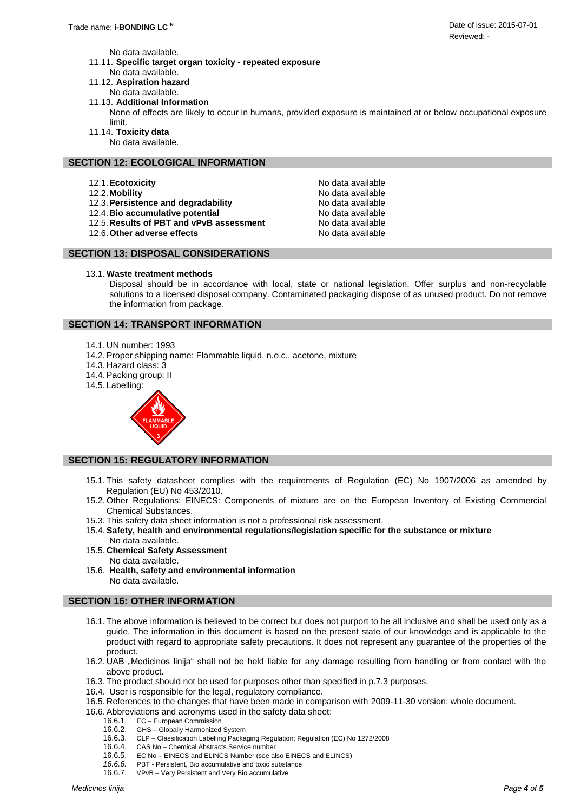No data available.

- 11.11. **Specific target organ toxicity - repeated exposure**
	- No data available.
- 11.12. **Aspiration hazard**
- No data available.
- 11.13. **Additional Information**
	- None of effects are likely to occur in humans, provided exposure is maintained at or below occupational exposure limit.
- 11.14. **Toxicity data**
	- No data available.

### **SECTION 12: ECOLOGICAL INFORMATION**

- 12.1. **Ecotoxicity No data available No data available**
- 
- 12.3.**Persistence and degradability** No data available
- 
- 12.4. **Bio accumulative potential discuss and Sepannia** No data available 12.5. Results of PBT and vPvB assessment 12.5. Results of PBT and vPvB assessment
- 12.6. Other adverse effects **No. 2.5. Except** 12.6. Other adverse effects

12.2. Mobility **No. 2.2. Mobility No. 2.2. Mobility No. 2.2. Mobility No. 2.2. Mobility** 

# **SECTION 13: DISPOSAL CONSIDERATIONS**

### 13.1. **Waste treatment methods**

Disposal should be in accordance with local, state or national legislation. Offer surplus and non-recyclable solutions to a licensed disposal company. Contaminated packaging dispose of as unused product. Do not remove the information from package.

### **SECTION 14: TRANSPORT INFORMATION**

- 14.1. UN number: 1993
- 14.2.Proper shipping name: Flammable liquid, n.o.c., acetone, mixture
- 14.3. Hazard class: 3
- 14.4.Packing group: II
- 14.5. Labelling:



### **SECTION 15: REGULATORY INFORMATION**

- 15.1. This safety datasheet complies with the requirements of Regulation (EC) No 1907/2006 as amended by Regulation (EU) No 453/2010.
- 15.2. Other Regulations: EINECS: Components of mixture are on the European Inventory of Existing Commercial Chemical Substances.
- 15.3. This safety data sheet information is not a professional risk assessment.
- 15.4.**Safety, health and environmental regulations/legislation specific for the substance or mixture** No data available.
- 15.5. **Chemical Safety Assessment** No data available.
- 15.6. **Health, safety and environmental information** No data available.

### **SECTION 16: OTHER INFORMATION**

- 16.1. The above information is believed to be correct but does not purport to be all inclusive and shall be used only as a guide. The information in this document is based on the present state of our knowledge and is applicable to the product with regard to appropriate safety precautions. It does not represent any guarantee of the properties of the product.
- 16.2. UAB "Medicinos linija" shall not be held liable for any damage resulting from handling or from contact with the above product.
- 16.3. The product should not be used for purposes other than specified in p.7.3 purposes.
- 16.4. User is responsible for the legal, regulatory compliance.
- 16.5. References to the changes that have been made in comparison with 2009-11-30 version: whole document.
- 16.6.Abbreviations and acronyms used in the safety data sheet:
	- 16.6.1. EC European Commission
	- 16.6.2. GHS Globally Harmonized System
	- 16.6.3. CLP Classification Labelling Packaging Regulation; Regulation (EC) No 1272/2008
	- 16.6.4. CAS No Chemical Abstracts Service number
	- 16.6.5. EC No EINECS and ELINCS Number (see also EINECS and ELINCS)
	- *16.6.6.* PBT Persistent, Bio accumulative and toxic substance
	- 16.6.7. VPvB Very Persistent and Very Bio accumulative